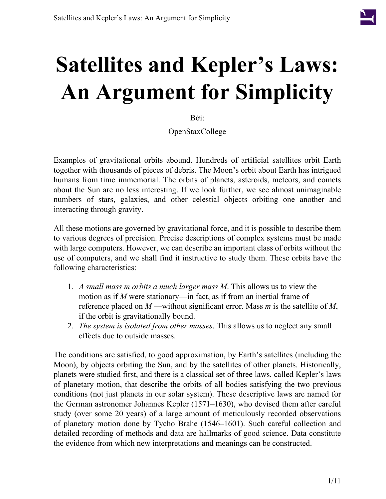

Bởi:

OpenStaxCollege

Examples of gravitational orbits abound. Hundreds of artificial satellites orbit Earth together with thousands of pieces of debris. The Moon's orbit about Earth has intrigued humans from time immemorial. The orbits of planets, asteroids, meteors, and comets about the Sun are no less interesting. If we look further, we see almost unimaginable numbers of stars, galaxies, and other celestial objects orbiting one another and interacting through gravity.

All these motions are governed by gravitational force, and it is possible to describe them to various degrees of precision. Precise descriptions of complex systems must be made with large computers. However, we can describe an important class of orbits without the use of computers, and we shall find it instructive to study them. These orbits have the following characteristics:

- 1. *A small mass m orbits a much larger mass M*. This allows us to view the motion as if *M* were stationary—in fact, as if from an inertial frame of reference placed on *M* —without significant error. Mass *m* is the satellite of *M*, if the orbit is gravitationally bound.
- 2. *The system is isolated from other masses*. This allows us to neglect any small effects due to outside masses.

The conditions are satisfied, to good approximation, by Earth's satellites (including the Moon), by objects orbiting the Sun, and by the satellites of other planets. Historically, planets were studied first, and there is a classical set of three laws, called Kepler's laws of planetary motion, that describe the orbits of all bodies satisfying the two previous conditions (not just planets in our solar system). These descriptive laws are named for the German astronomer Johannes Kepler (1571–1630), who devised them after careful study (over some 20 years) of a large amount of meticulously recorded observations of planetary motion done by Tycho Brahe (1546–1601). Such careful collection and detailed recording of methods and data are hallmarks of good science. Data constitute the evidence from which new interpretations and meanings can be constructed.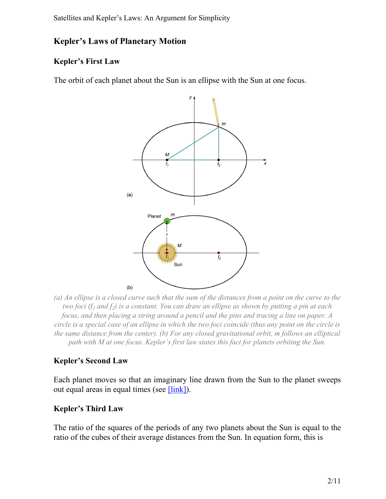# **Kepler's Laws of Planetary Motion**

## **Kepler's First Law**

The orbit of each planet about the Sun is an ellipse with the Sun at one focus.



*(a) An ellipse is a closed curve such that the sum of the distances from a point on the curve to the two foci (f<sup>1</sup> and f2) is a constant. You can draw an ellipse as shown by putting a pin at each focus, and then placing a string around a pencil and the pins and tracing a line on paper. A circle is a special case of an ellipse in which the two foci coincide (thus any point on the circle is the same distance from the center). (b) For any closed gravitational orbit, m follows an elliptical path with M at one focus. Kepler's first law states this fact for planets orbiting the Sun.*

## **Kepler's Second Law**

Each planet moves so that an imaginary line drawn from the Sun to the planet sweeps out equal areas in equal times (see [\[link\]](#page-2-0)).

## **Kepler's Third Law**

The ratio of the squares of the periods of any two planets about the Sun is equal to the ratio of the cubes of their average distances from the Sun. In equation form, this is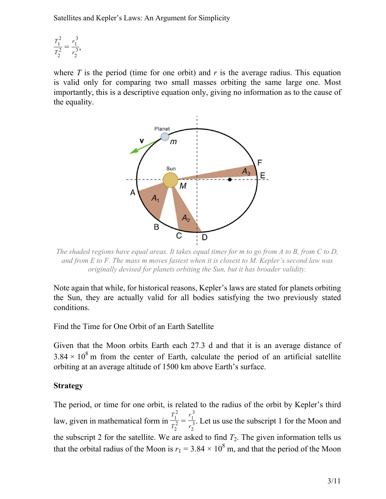$$
\frac{T_1^2}{T_2^2} = \frac{r_1^3}{r_2^3},
$$

<span id="page-2-0"></span>where  $T$  is the period (time for one orbit) and  $r$  is the average radius. This equation is valid only for comparing two small masses orbiting the same large one. Most importantly, this is a descriptive equation only, giving no information as to the cause of the equality.



*The shaded regions have equal areas. It takes equal times for m to go from A to B, from C to D, and from E to F. The mass m moves fastest when it is closest to M. Kepler's second law was originally devised for planets orbiting the Sun, but it has broader validity.*

Note again that while, for historical reasons, Kepler's laws are stated for planets orbiting the Sun, they are actually valid for all bodies satisfying the two previously stated conditions.

Find the Time for One Orbit of an Earth Satellite

Given that the Moon orbits Earth each 27.3 d and that it is an average distance of  $3.84 \times 10^8$  m from the center of Earth, calculate the period of an artificial satellite orbiting at an average altitude of 1500 km above Earth's surface.

## **Strategy**

The period, or time for one orbit, is related to the radius of the orbit by Kepler's third law, given in mathematical form in  $\frac{T_1}{T_2}$ 2 *T* 2  $\frac{r_1^2}{2} = \frac{r_1^2}{r_1^2}$ 3 *r* 2  $\frac{1}{3}$ . Let us use the subscript 1 for the Moon and the subscript 2 for the satellite. We are asked to find  $T_2$ . The given information tells us that the orbital radius of the Moon is  $r_1 = 3.84 \times 10^8$  m, and that the period of the Moon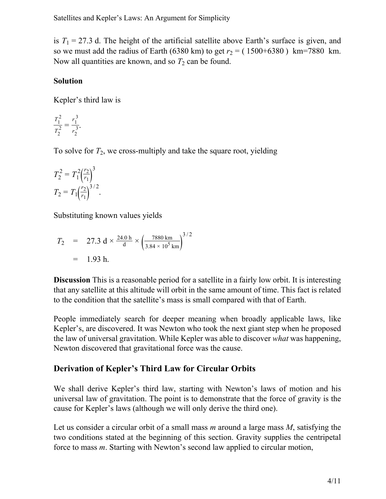is  $T_1 = 27.3$  d. The height of the artificial satellite above Earth's surface is given, and so we must add the radius of Earth (6380 km) to get  $r_2 = (1500+6380)$  km=7880 km. Now all quantities are known, and so  $T_2$  can be found.

# **Solution**

Kepler's third law is

$$
\frac{T_1^2}{T_2^2} = \frac{r_1^3}{r_2^3}.
$$

To solve for *T*2, we cross-multiply and take the square root, yielding

$$
T_2^2 = T_1^2 \left(\frac{r_2}{r_1}\right)^3
$$
  

$$
T_2 = T_1 \left(\frac{r_2}{r_1}\right)^{3/2}.
$$

Substituting known values yields

$$
T_2 = 27.3 \text{ d} \times \frac{24.0 \text{ h}}{\text{d}} \times \left(\frac{7880 \text{ km}}{3.84 \times 10^5 \text{ km}}\right)^{3/2}
$$
  
= 1.93 h.

**Discussion** This is a reasonable period for a satellite in a fairly low orbit. It is interesting that any satellite at this altitude will orbit in the same amount of time. This fact is related to the condition that the satellite's mass is small compared with that of Earth.

People immediately search for deeper meaning when broadly applicable laws, like Kepler's, are discovered. It was Newton who took the next giant step when he proposed the law of universal gravitation. While Kepler was able to discover *what* was happening, Newton discovered that gravitational force was the cause.

# **Derivation of Kepler's Third Law for Circular Orbits**

We shall derive Kepler's third law, starting with Newton's laws of motion and his universal law of gravitation. The point is to demonstrate that the force of gravity is the cause for Kepler's laws (although we will only derive the third one).

Let us consider a circular orbit of a small mass *m* around a large mass *M*, satisfying the two conditions stated at the beginning of this section. Gravity supplies the centripetal force to mass *m*. Starting with Newton's second law applied to circular motion,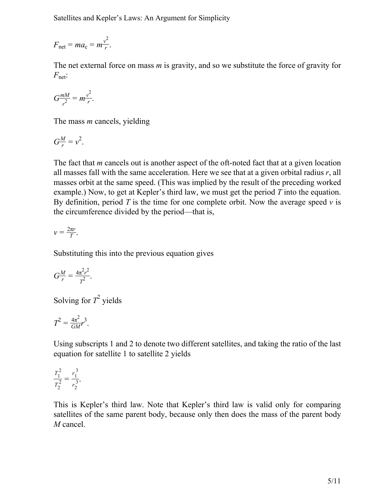$$
F_{\text{net}} = ma_{\text{c}} = m\frac{v^2}{r}.
$$

The net external force on mass *m* is gravity, and so we substitute the force of gravity for  $F_{\text{net}}$ :

$$
G\frac{mM}{r^2}=m\frac{v^2}{r}.
$$

The mass *m* cancels, yielding

$$
G_{r}^{\underline{M}}=\nu^{2}.
$$

The fact that *m* cancels out is another aspect of the oft-noted fact that at a given location all masses fall with the same acceleration. Here we see that at a given orbital radius *r*, all masses orbit at the same speed. (This was implied by the result of the preceding worked example.) Now, to get at Kepler's third law, we must get the period *T* into the equation. By definition, period  $T$  is the time for one complete orbit. Now the average speed  $\nu$  is the circumference divided by the period—that is,

$$
v = \frac{2\pi r}{T}.
$$

Substituting this into the previous equation gives

$$
G_r^M = \frac{4\pi^2 r^2}{T^2}.
$$

Solving for  $T^2$  yields

$$
T^2 = \frac{4\pi^2}{GM}r^3.
$$

Using subscripts 1 and 2 to denote two different satellites, and taking the ratio of the last equation for satellite 1 to satellite 2 yields

$$
\frac{T_1^2}{T_2^2} = \frac{r_1^3}{r_2^3}.
$$

This is Kepler's third law. Note that Kepler's third law is valid only for comparing satellites of the same parent body, because only then does the mass of the parent body *M* cancel.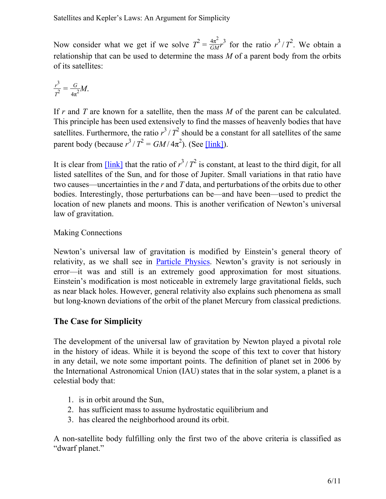Now consider what we get if we solve  $T^2 = \frac{4\pi^2}{GM}r^3$  for the ratio  $r^3/T^2$ . We obtain a relationship that can be used to determine the mass *M* of a parent body from the orbits of its satellites:

$$
\frac{r^3}{T^2} = \frac{G}{4\pi^2} M.
$$

If *r* and *T* are known for a satellite, then the mass *M* of the parent can be calculated. This principle has been used extensively to find the masses of heavenly bodies that have satellites. Furthermore, the ratio  $r^3/T^2$  should be a constant for all satellites of the same parent body (because  $r^3 / T^2 = GM / 4\pi^2$ ). (See [\[link\]\)](#page-6-0).

It is clear from  $\boxed{\text{link}}$  that the ratio of  $r^3/T^2$  is constant, at least to the third digit, for all listed satellites of the Sun, and for those of Jupiter. Small variations in that ratio have two causes—uncertainties in the *r* and *T* data, and perturbations of the orbits due to other bodies. Interestingly, those perturbations can be—and have been—used to predict the location of new planets and moons. This is another verification of Newton's universal law of gravitation.

# Making Connections

Newton's universal law of gravitation is modified by Einstein's general theory of relativity, as we shall see in Particle [Physics.](/m42667) Newton's gravity is not seriously in error—it was and still is an extremely good approximation for most situations. Einstein's modification is most noticeable in extremely large gravitational fields, such as near black holes. However, general relativity also explains such phenomena as small but long-known deviations of the orbit of the planet Mercury from classical predictions.

# **The Case for Simplicity**

The development of the universal law of gravitation by Newton played a pivotal role in the history of ideas. While it is beyond the scope of this text to cover that history in any detail, we note some important points. The definition of planet set in 2006 by the International Astronomical Union (IAU) states that in the solar system, a planet is a celestial body that:

- 1. is in orbit around the Sun,
- 2. has sufficient mass to assume hydrostatic equilibrium and
- 3. has cleared the neighborhood around its orbit.

A non-satellite body fulfilling only the first two of the above criteria is classified as "dwarf planet."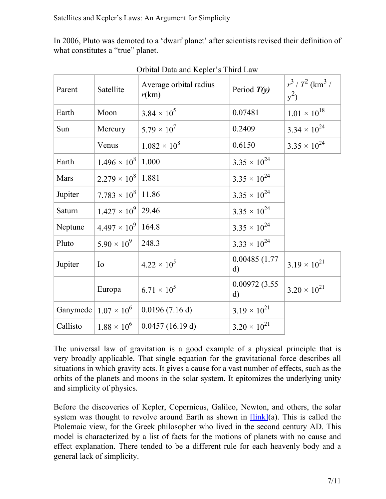In 2006, Pluto was demoted to a 'dwarf planet' after scientists revised their definition of what constitutes a "true" planet.

<span id="page-6-0"></span>

| Parent   | Satellite                     | Average orbital radius<br>r(km) | Period $T(y)$              | $r^3 / T^2$ (km <sup>3</sup> /<br>$y^2$ |
|----------|-------------------------------|---------------------------------|----------------------------|-----------------------------------------|
| Earth    | Moon                          | $3.84 \times 10^{5}$            | 0.07481                    | $1.01 \times 10^{18}$                   |
| Sun      | Mercury                       | $5.79 \times 10^{7}$            | 0.2409                     | $3.34 \times 10^{24}$                   |
|          | Venus                         | $1.082 \times 10^8$             | 0.6150                     | $3.35 \times 10^{24}$                   |
| Earth    | $1.496 \times 10^8$           | 1.000                           | $3.35 \times 10^{24}$      |                                         |
| Mars     | $2.279 \times 10^8$           | 1.881                           | $3.35 \times 10^{24}$      |                                         |
| Jupiter  | $7.783 \times 10^8$ 11.86     |                                 | $3.35 \times 10^{24}$      |                                         |
| Saturn   | $1.427 \times 10^9$ 29.46     |                                 | $3.35 \times 10^{24}$      |                                         |
| Neptune  | $4.497 \times 10^{9}$         | 164.8                           | $3.35 \times 10^{24}$      |                                         |
| Pluto    | $5.90 \times 10^{9}$          | 248.3                           | $3.33 \times 10^{24}$      |                                         |
| Jupiter  | Io                            | $4.22 \times 10^5$              | 0.00485 (1.77)<br>$\rm d)$ | $3.19 \times 10^{21}$                   |
|          | Europa                        | $6.71 \times 10^{5}$            | 0.00972(3.55)<br>$\rm d)$  | $3.20 \times 10^{21}$                   |
|          | Ganymede   $1.07 \times 10^6$ | 0.0196(7.16d)                   | $3.19 \times 10^{21}$      |                                         |
| Callisto | $1.88 \times 10^{6}$          | 0.0457(16.19 d)                 | $3.20 \times 10^{21}$      |                                         |

Orbital Data and Kepler's Third Law

The universal law of gravitation is a good example of a physical principle that is very broadly applicable. That single equation for the gravitational force describes all situations in which gravity acts. It gives a cause for a vast number of effects, such as the orbits of the planets and moons in the solar system. It epitomizes the underlying unity and simplicity of physics.

Before the discoveries of Kepler, Copernicus, Galileo, Newton, and others, the solar system was thought to revolve around Earth as shown in  $[\text{link}](a)$ . This is called the Ptolemaic view, for the Greek philosopher who lived in the second century AD. This model is characterized by a list of facts for the motions of planets with no cause and effect explanation. There tended to be a different rule for each heavenly body and a general lack of simplicity.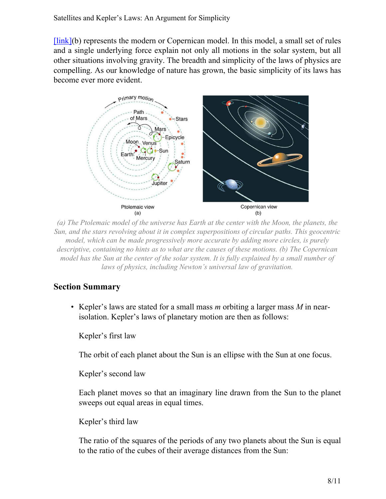<span id="page-7-0"></span> $[\text{link}](b)$  represents the modern or Copernican model. In this model, a small set of rules and a single underlying force explain not only all motions in the solar system, but all other situations involving gravity. The breadth and simplicity of the laws of physics are compelling. As our knowledge of nature has grown, the basic simplicity of its laws has become ever more evident.



*(a) The Ptolemaic model of the universe has Earth at the center with the Moon, the planets, the Sun, and the stars revolving about it in complex superpositions of circular paths. This geocentric model, which can be made progressively more accurate by adding more circles, is purely descriptive, containing no hints as to what are the causes of these motions. (b) The Copernican model has the Sun at the center of the solar system. It is fully explained by a small number of laws of physics, including Newton's universal law of gravitation.*

# **Section Summary**

• Kepler's laws are stated for a small mass *m* orbiting a larger mass *M* in nearisolation. Kepler's laws of planetary motion are then as follows:

Kepler's first law

The orbit of each planet about the Sun is an ellipse with the Sun at one focus.

Kepler's second law

Each planet moves so that an imaginary line drawn from the Sun to the planet sweeps out equal areas in equal times.

Kepler's third law

The ratio of the squares of the periods of any two planets about the Sun is equal to the ratio of the cubes of their average distances from the Sun: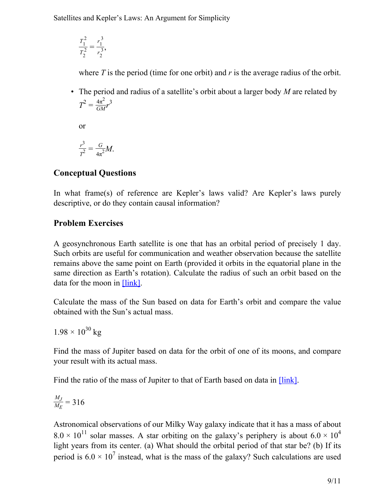$$
\frac{T_1^2}{T_2^2} = \frac{r_1^3}{r_2^3},
$$

where *T* is the period (time for one orbit) and *r* is the average radius of the orbit.

• The period and radius of a satellite's orbit about a larger body *M* are related by  $T^2 = \frac{4\pi^2}{GM}r^3$ 

or

$$
\frac{r^3}{T^2} = \frac{G}{4\pi^2} M.
$$

# **Conceptual Questions**

In what frame(s) of reference are Kepler's laws valid? Are Kepler's laws purely descriptive, or do they contain causal information?

# **Problem Exercises**

A geosynchronous Earth satellite is one that has an orbital period of precisely 1 day. Such orbits are useful for communication and weather observation because the satellite remains above the same point on Earth (provided it orbits in the equatorial plane in the same direction as Earth's rotation). Calculate the radius of such an orbit based on the data for the moon in [\[link\].](#page-6-0)

Calculate the mass of the Sun based on data for Earth's orbit and compare the value obtained with the Sun's actual mass.

 $1.98 \times 10^{30}$  kg

Find the mass of Jupiter based on data for the orbit of one of its moons, and compare your result with its actual mass.

Find the ratio of the mass of Jupiter to that of Earth based on data in [\[link\]](#page-6-0).

$$
\frac{M_J}{M_E} = 316
$$

Astronomical observations of our Milky Way galaxy indicate that it has a mass of about  $8.0 \times 10^{11}$  solar masses. A star orbiting on the galaxy's periphery is about  $6.0 \times 10^4$ light years from its center. (a) What should the orbital period of that star be? (b) If its period is  $6.0 \times 10^7$  instead, what is the mass of the galaxy? Such calculations are used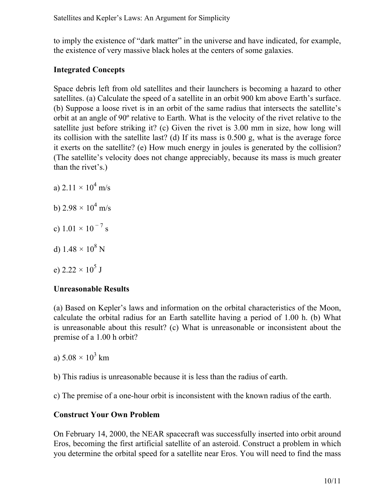to imply the existence of "dark matter" in the universe and have indicated, for example, the existence of very massive black holes at the centers of some galaxies.

#### **Integrated Concepts**

Space debris left from old satellites and their launchers is becoming a hazard to other satellites. (a) Calculate the speed of a satellite in an orbit 900 km above Earth's surface. (b) Suppose a loose rivet is in an orbit of the same radius that intersects the satellite's orbit at an angle of 90º relative to Earth. What is the velocity of the rivet relative to the satellite just before striking it? (c) Given the rivet is 3.00 mm in size, how long will its collision with the satellite last? (d) If its mass is 0.500 g, what is the average force it exerts on the satellite? (e) How much energy in joules is generated by the collision? (The satellite's velocity does not change appreciably, because its mass is much greater than the rivet's.)

- a)  $2.11 \times 10^4$  m/s
- b)  $2.98 \times 10^4$  m/s
- c)  $1.01 \times 10^{-7}$  s
- d)  $1.48 \times 10^8$  N
- e) 2.22  $\times$  10<sup>5</sup> J

## **Unreasonable Results**

(a) Based on Kepler's laws and information on the orbital characteristics of the Moon, calculate the orbital radius for an Earth satellite having a period of 1.00 h. (b) What is unreasonable about this result? (c) What is unreasonable or inconsistent about the premise of a 1.00 h orbit?

a)  $5.08 \times 10^3$  km

b) This radius is unreasonable because it is less than the radius of earth.

c) The premise of a one-hour orbit is inconsistent with the known radius of the earth.

## **Construct Your Own Problem**

On February 14, 2000, the NEAR spacecraft was successfully inserted into orbit around Eros, becoming the first artificial satellite of an asteroid. Construct a problem in which you determine the orbital speed for a satellite near Eros. You will need to find the mass